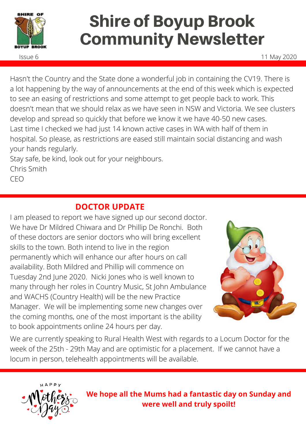

# Shire of Boyup Brook Community Newsletter

Issue 6 11 May 2020

Hasn't the Country and the State done a wonderful job in containing the CV19. There is a lot happening by the way of announcements at the end of this week which is expected to see an easing of restrictions and some attempt to get people back to work. This doesn't mean that we should relax as we have seen in NSW and Victoria. We see clusters develop and spread so quickly that before we know it we have 40-50 new cases. Last time I checked we had just 14 known active cases in WA with half of them in hospital. So please, as restrictions are eased still maintain social distancing and wash your hands regularly.

Stay safe, be kind, look out for your neighbours. Chris Smith CEO

# **DOCTOR UPDATE**

I am pleased to report we have signed up our second doctor. We have Dr Mildred Chiwara and Dr Phillip De Ronchi. Both of these doctors are senior doctors who will bring excellent skills to the town. Both intend to live in the region permanently which will enhance our after hours on call availability. Both Mildred and Phillip will commence on Tuesday 2nd June 2020. Nicki Jones who is well known to many through her roles in Country Music, St John Ambulance and WACHS (Country Health) will be the new Practice Manager. We will be implementing some new changes over the coming months, one of the most important is the ability to book appointments online 24 hours per day.



We are currently speaking to Rural Health West with regards to a Locum Doctor for the week of the 25th - 29th May and are optimistic for a placement. If we cannot have a locum in person, telehealth appointments will be available.



**We hope all the Mums had a fantastic day on Sunday and were well and truly spoilt!**